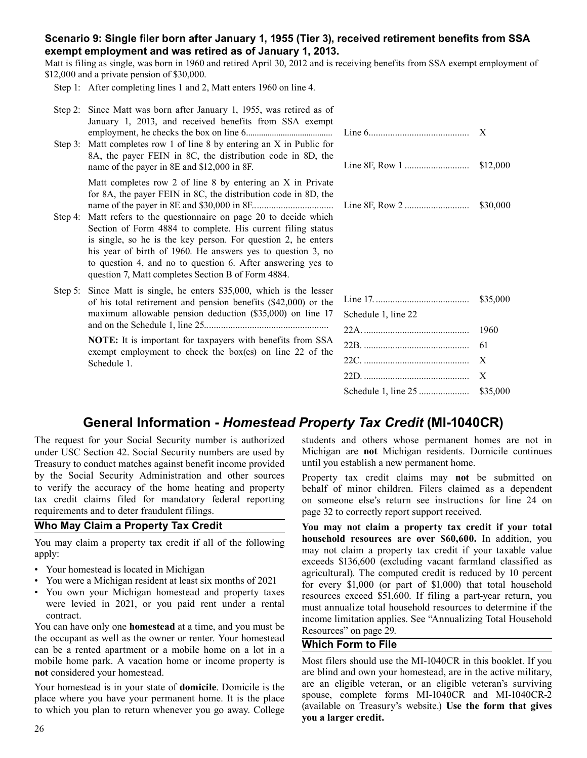## **Scenario 9: Single filer born after January 1, 1955 (Tier 3), received retirement benefits from SSA exempt employment and was retired as of January 1, 2013.**

Matt is filing as single, was born in 1960 and retired April 30, 2012 and is receiving benefits from SSA exempt employment of \$12,000 and a private pension of \$30,000.

Step 1: After completing lines 1 and 2, Matt enters 1960 on line 4.

| Step 2: Since Matt was born after January 1, 1955, was retired as of<br>January 1, 2013, and received benefits from SSA exempt<br>Step 3: Matt completes row 1 of line 8 by entering an X in Public for<br>8A, the payer FEIN in 8C, the distribution code in 8D, the<br>name of the payer in 8E and \$12,000 in 8F.                                                                                                                                                                                                    |                     | X<br>\$12,000                                |
|-------------------------------------------------------------------------------------------------------------------------------------------------------------------------------------------------------------------------------------------------------------------------------------------------------------------------------------------------------------------------------------------------------------------------------------------------------------------------------------------------------------------------|---------------------|----------------------------------------------|
| Matt completes row 2 of line 8 by entering an X in Private<br>for 8A, the payer FEIN in 8C, the distribution code in 8D, the<br>Step 4: Matt refers to the questionnaire on page 20 to decide which<br>Section of Form 4884 to complete. His current filing status<br>is single, so he is the key person. For question 2, he enters<br>his year of birth of 1960. He answers yes to question 3, no<br>to question 4, and no to question 6. After answering yes to<br>question 7, Matt completes Section B of Form 4884. |                     | \$30,000                                     |
| Step 5: Since Matt is single, he enters \$35,000, which is the lesser<br>of his total retirement and pension benefits (\$42,000) or the<br>maximum allowable pension deduction (\$35,000) on line 17<br>NOTE: It is important for taxpayers with benefits from SSA<br>exempt employment to check the box(es) on line 22 of the<br>Schedule 1.                                                                                                                                                                           | Schedule 1, line 22 | \$35,000<br>1960<br>61<br>X<br>X<br>\$35,000 |

# **General Information -** *Homestead Property Tax Credit* **(MI-1040CR)**

The request for your Social Security number is authorized under USC Section 42. Social Security numbers are used by Treasury to conduct matches against benefit income provided by the Social Security Administration and other sources to verify the accuracy of the home heating and property tax credit claims filed for mandatory federal reporting requirements and to deter fraudulent filings.

## **Who May Claim a Property Tax Credit**

You may claim a property tax credit if all of the following apply:

- Your homestead is located in Michigan
- You were a Michigan resident at least six months of 2021
- You own your Michigan homestead and property taxes were levied in 2021, or you paid rent under a rental contract.

You can have only one **homestead** at a time, and you must be the occupant as well as the owner or renter. Your homestead can be a rented apartment or a mobile home on a lot in a mobile home park. A vacation home or income property is **not** considered your homestead.

Your homestead is in your state of **domicile**. Domicile is the place where you have your permanent home. It is the place to which you plan to return whenever you go away. College

students and others whose permanent homes are not in Michigan are **not** Michigan residents. Domicile continues until you establish a new permanent home.

Property tax credit claims may **not** be submitted on behalf of minor children. Filers claimed as a dependent on someone else's return see instructions for line 24 on page 32 to correctly report support received.

**You may not claim a property tax credit if your total household resources are over \$60,600.** In addition, you may not claim a property tax credit if your taxable value exceeds \$136,600 (excluding vacant farmland classified as agricultural). The computed credit is reduced by 10 percent for every \$1,000 (or part of \$1,000) that total household resources exceed \$51,600. If filing a part-year return, you must annualize total household resources to determine if the income limitation applies. See "Annualizing Total Household Resources" on page 29.

## **Which Form to File**

Most filers should use the MI-1040CR in this booklet. If you are blind and own your homestead, are in the active military, are an eligible veteran, or an eligible veteran's surviving spouse, complete forms MI-1040CR and MI-1040CR-2 (available on Treasury's website.) **Use the form that gives you a larger credit.**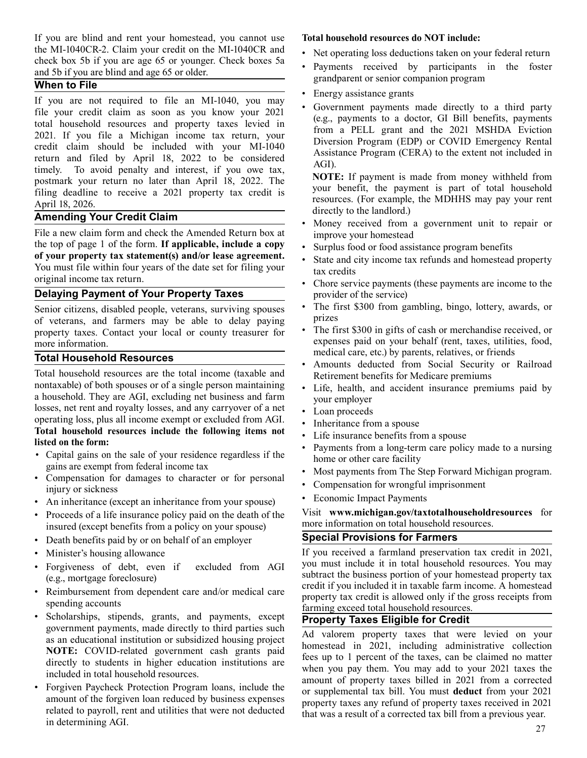If you are blind and rent your homestead, you cannot use the MI-1040CR-2. Claim your credit on the MI-1040CR and check box 5b if you are age 65 or younger. Check boxes 5a and 5b if you are blind and age 65 or older.

## **When to File**

If you are not required to file an MI-1040, you may file your credit claim as soon as you know your 2021 total household resources and property taxes levied in 2021. If you file a Michigan income tax return, your credit claim should be included with your MI-1040 return and filed by April 18, 2022 to be considered timely. To avoid penalty and interest, if you owe tax, postmark your return no later than April 18, 2022. The filing deadline to receive a 2021 property tax credit is April 18, 2026.

## **Amending Your Credit Claim**

File a new claim form and check the Amended Return box at the top of page 1 of the form. **If applicable, include a copy of your property tax statement(s) and/or lease agreement.**  You must file within four years of the date set for filing your original income tax return.

## **Delaying Payment of Your Property Taxes**

Senior citizens, disabled people, veterans, surviving spouses of veterans, and farmers may be able to delay paying property taxes. Contact your local or county treasurer for more information.

## **Total Household Resources**

Total household resources are the total income (taxable and nontaxable) of both spouses or of a single person maintaining a household. They are AGI, excluding net business and farm losses, net rent and royalty losses, and any carryover of a net operating loss, plus all income exempt or excluded from AGI. **Total household resources include the following items not listed on the form:**

- Capital gains on the sale of your residence regardless if the gains are exempt from federal income tax
- Compensation for damages to character or for personal injury or sickness
- An inheritance (except an inheritance from your spouse)
- Proceeds of a life insurance policy paid on the death of the insured (except benefits from a policy on your spouse)
- Death benefits paid by or on behalf of an employer
- Minister's housing allowance
- Forgiveness of debt, even if excluded from AGI (e.g., mortgage foreclosure)
- Reimbursement from dependent care and/or medical care spending accounts
- Scholarships, stipends, grants, and payments, except government payments, made directly to third parties such as an educational institution or subsidized housing project **NOTE:** COVID-related government cash grants paid directly to students in higher education institutions are included in total household resources.
- Forgiven Paycheck Protection Program loans, include the amount of the forgiven loan reduced by business expenses related to payroll, rent and utilities that were not deducted in determining AGI.

#### **Total household resources do NOT include:**

- Net operating loss deductions taken on your federal return
- Payments received by participants in the foster grandparent or senior companion program
- Energy assistance grants
- Government payments made directly to a third party (e.g., payments to a doctor, GI Bill benefits, payments from a PELL grant and the 2021 MSHDA Eviction Diversion Program (EDP) or COVID Emergency Rental Assistance Program (CERA) to the extent not included in AGI).

**NOTE:** If payment is made from money withheld from your benefit, the payment is part of total household resources. (For example, the MDHHS may pay your rent directly to the landlord.)

- Money received from a government unit to repair or improve your homestead
- Surplus food or food assistance program benefits
- State and city income tax refunds and homestead property tax credits
- Chore service payments (these payments are income to the provider of the service)
- The first \$300 from gambling, bingo, lottery, awards, or prizes
- The first \$300 in gifts of cash or merchandise received, or expenses paid on your behalf (rent, taxes, utilities, food, medical care, etc.) by parents, relatives, or friends
- Amounts deducted from Social Security or Railroad Retirement benefits for Medicare premiums
- Life, health, and accident insurance premiums paid by your employer
- Loan proceeds
- Inheritance from a spouse
- Life insurance benefits from a spouse
- Payments from a long-term care policy made to a nursing home or other care facility
- Most payments from The Step Forward Michigan program.
- Compensation for wrongful imprisonment
- Economic Impact Payments

Visit **www.michigan.gov/taxtotalhouseholdresources** for more information on total household resources.

## **Special Provisions for Farmers**

If you received a farmland preservation tax credit in 2021, you must include it in total household resources. You may subtract the business portion of your homestead property tax credit if you included it in taxable farm income. A homestead property tax credit is allowed only if the gross receipts from farming exceed total household resources.

## **Property Taxes Eligible for Credit**

Ad valorem property taxes that were levied on your homestead in 2021, including administrative collection fees up to 1 percent of the taxes, can be claimed no matter when you pay them. You may add to your 2021 taxes the amount of property taxes billed in 2021 from a corrected or supplemental tax bill. You must **deduct** from your 2021 property taxes any refund of property taxes received in 2021 that was a result of a corrected tax bill from a previous year.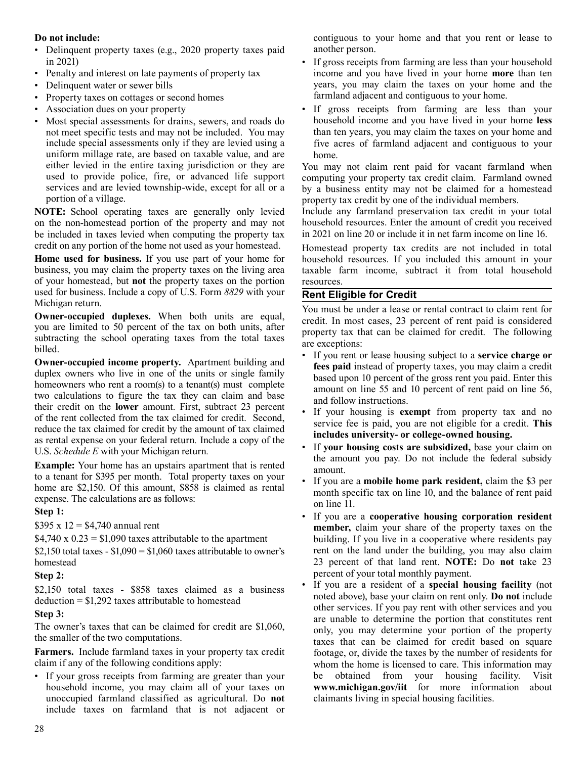## **Do not include:**

- Delinquent property taxes (e.g., 2020 property taxes paid in 2021)
- Penalty and interest on late payments of property tax
- Delinquent water or sewer bills
- Property taxes on cottages or second homes
- Association dues on your property
- Most special assessments for drains, sewers, and roads do not meet specific tests and may not be included. You may include special assessments only if they are levied using a uniform millage rate, are based on taxable value, and are either levied in the entire taxing jurisdiction or they are used to provide police, fire, or advanced life support services and are levied township-wide, except for all or a portion of a village.

**NOTE:** School operating taxes are generally only levied on the non-homestead portion of the property and may not be included in taxes levied when computing the property tax credit on any portion of the home not used as your homestead.

**Home used for business.** If you use part of your home for business, you may claim the property taxes on the living area of your homestead, but **not** the property taxes on the portion used for business. Include a copy of U.S. Form *8829* with your Michigan return.

**Owner-occupied duplexes.** When both units are equal, you are limited to 50 percent of the tax on both units, after subtracting the school operating taxes from the total taxes billed.

**Owner-occupied income property.** Apartment building and duplex owners who live in one of the units or single family homeowners who rent a room(s) to a tenant(s) must complete two calculations to figure the tax they can claim and base their credit on the **lower** amount. First, subtract 23 percent of the rent collected from the tax claimed for credit. Second, reduce the tax claimed for credit by the amount of tax claimed as rental expense on your federal return*.* Include a copy of the U.S. *Schedule E* with your Michigan return*.*

**Example:** Your home has an upstairs apartment that is rented to a tenant for \$395 per month. Total property taxes on your home are \$2,150. Of this amount, \$858 is claimed as rental expense. The calculations are as follows:

## **Step 1:**

\$395 x  $12 = $4,740$  annual rent

 $$4,740 \times 0.23 = $1,090$  taxes attributable to the apartment

\$2,150 total taxes -  $$1,090 = $1,060$  taxes attributable to owner's homestead

## **Step 2:**

\$2,150 total taxes - \$858 taxes claimed as a business deduction = \$1,292 taxes attributable to homestead

## **Step 3:**

The owner's taxes that can be claimed for credit are \$1,060, the smaller of the two computations.

**Farmers.** Include farmland taxes in your property tax credit claim if any of the following conditions apply:

• If your gross receipts from farming are greater than your household income, you may claim all of your taxes on unoccupied farmland classified as agricultural. Do **not**  include taxes on farmland that is not adjacent or contiguous to your home and that you rent or lease to another person.

- If gross receipts from farming are less than your household income and you have lived in your home **more** than ten years, you may claim the taxes on your home and the farmland adjacent and contiguous to your home.
- If gross receipts from farming are less than your household income and you have lived in your home **less** than ten years, you may claim the taxes on your home and five acres of farmland adjacent and contiguous to your home.

You may not claim rent paid for vacant farmland when computing your property tax credit claim. Farmland owned by a business entity may not be claimed for a homestead property tax credit by one of the individual members.

Include any farmland preservation tax credit in your total household resources. Enter the amount of credit you received in 2021 on line 20 or include it in net farm income on line 16.

Homestead property tax credits are not included in total household resources. If you included this amount in your taxable farm income, subtract it from total household resources.

## **Rent Eligible for Credit**

You must be under a lease or rental contract to claim rent for credit. In most cases, 23 percent of rent paid is considered property tax that can be claimed for credit. The following are exceptions:

- If you rent or lease housing subject to a **service charge or fees paid** instead of property taxes, you may claim a credit based upon 10 percent of the gross rent you paid. Enter this amount on line 55 and 10 percent of rent paid on line 56, and follow instructions.
- If your housing is **exempt** from property tax and no service fee is paid, you are not eligible for a credit. **This includes university- or college-owned housing.**
- If **your housing costs are subsidized,** base your claim on the amount you pay. Do not include the federal subsidy amount.
- If you are a **mobile home park resident,** claim the \$3 per month specific tax on line 10, and the balance of rent paid on line 11.
- If you are a **cooperative housing corporation resident member,** claim your share of the property taxes on the building. If you live in a cooperative where residents pay rent on the land under the building, you may also claim 23 percent of that land rent. **NOTE:** Do **not** take 23 percent of your total monthly payment.
- If you are a resident of a **special housing facility** (not noted above), base your claim on rent only. **Do not** include other services. If you pay rent with other services and you are unable to determine the portion that constitutes rent only, you may determine your portion of the property taxes that can be claimed for credit based on square footage, or, divide the taxes by the number of residents for whom the home is licensed to care. This information may be obtained from your housing facility. Visit **www.michigan.gov/iit** for more information about claimants living in special housing facilities.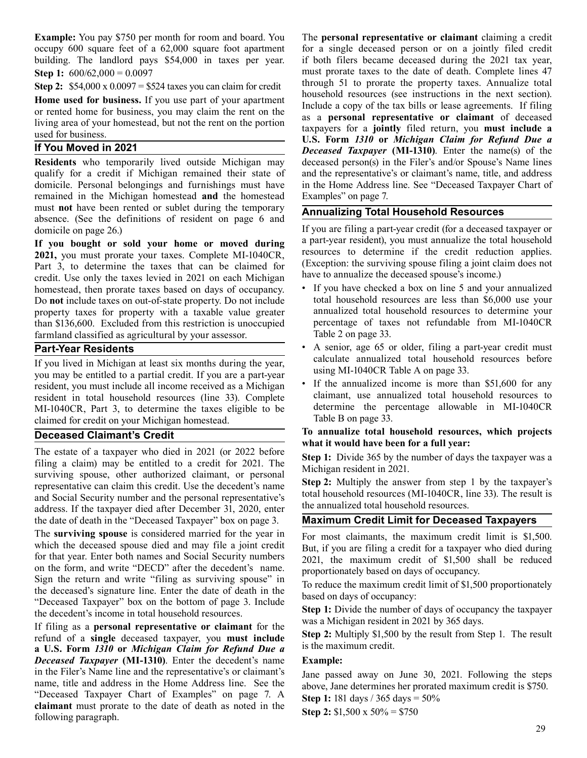**Example:** You pay \$750 per month for room and board. You occupy 600 square feet of a 62,000 square foot apartment building. The landlord pays \$54,000 in taxes per year. **Step 1:**  $600/62,000 = 0.0097$ 

**Step 2:** \$54,000 x 0.0097 = \$524 taxes you can claim for credit

**Home used for business.** If you use part of your apartment or rented home for business, you may claim the rent on the living area of your homestead, but not the rent on the portion used for business.

## **If You Moved in 2021**

**Residents** who temporarily lived outside Michigan may qualify for a credit if Michigan remained their state of domicile. Personal belongings and furnishings must have remained in the Michigan homestead **and** the homestead must **not** have been rented or sublet during the temporary absence. (See the definitions of resident on page 6 and domicile on page 26.)

**If you bought or sold your home or moved during 2021,** you must prorate your taxes. Complete MI-1040CR, Part 3, to determine the taxes that can be claimed for credit. Use only the taxes levied in 2021 on each Michigan homestead, then prorate taxes based on days of occupancy. Do **not** include taxes on out-of-state property. Do not include property taxes for property with a taxable value greater than \$136,600. Excluded from this restriction is unoccupied farmland classified as agricultural by your assessor.

## **Part-Year Residents**

If you lived in Michigan at least six months during the year, you may be entitled to a partial credit. If you are a part-year resident, you must include all income received as a Michigan resident in total household resources (line 33). Complete MI-1040CR, Part 3, to determine the taxes eligible to be claimed for credit on your Michigan homestead.

## **Deceased Claimant's Credit**

The estate of a taxpayer who died in 2021 (or 2022 before filing a claim) may be entitled to a credit for 2021. The surviving spouse, other authorized claimant, or personal representative can claim this credit. Use the decedent's name and Social Security number and the personal representative's address. If the taxpayer died after December 31, 2020, enter the date of death in the "Deceased Taxpayer" box on page 3.

The **surviving spouse** is considered married for the year in which the deceased spouse died and may file a joint credit for that year. Enter both names and Social Security numbers on the form, and write "DECD" after the decedent's name. Sign the return and write "filing as surviving spouse" in the deceased's signature line. Enter the date of death in the "Deceased Taxpayer" box on the bottom of page 3. Include the decedent's income in total household resources.

If filing as a **personal representative or claimant** for the refund of a **single** deceased taxpayer, you **must include a U.S. Form** *1310* **or** *Michigan Claim for Refund Due a Deceased Taxpayer* **(MI-1310)**. Enter the decedent's name in the Filer's Name line and the representative's or claimant's name, title and address in the Home Address line. See the "Deceased Taxpayer Chart of Examples" on page 7. A **claimant** must prorate to the date of death as noted in the following paragraph.

The **personal representative or claimant** claiming a credit for a single deceased person or on a jointly filed credit if both filers became deceased during the 2021 tax year, must prorate taxes to the date of death. Complete lines 47 through 51 to prorate the property taxes. Annualize total household resources (see instructions in the next section). Include a copy of the tax bills or lease agreements. If filing as a **personal representative or claimant** of deceased taxpayers for a **jointly** filed return, you **must include a U.S. Form** *1310* **or** *Michigan Claim for Refund Due a Deceased Taxpayer* **(MI-1310)**. Enter the name(s) of the deceased person(s) in the Filer's and/or Spouse's Name lines and the representative's or claimant's name, title, and address in the Home Address line. See "Deceased Taxpayer Chart of Examples" on page 7.

## **Annualizing Total Household Resources**

If you are filing a part-year credit (for a deceased taxpayer or a part-year resident), you must annualize the total household resources to determine if the credit reduction applies. (Exception: the surviving spouse filing a joint claim does not have to annualize the deceased spouse's income.)

- If you have checked a box on line 5 and your annualized total household resources are less than \$6,000 use your annualized total household resources to determine your percentage of taxes not refundable from MI-1040CR Table 2 on page 33.
- A senior, age 65 or older, filing a part-year credit must calculate annualized total household resources before using MI-1040CR Table A on page 33.
- If the annualized income is more than  $$51,600$  for any claimant, use annualized total household resources to determine the percentage allowable in MI-1040CR Table B on page 33.

#### **To annualize total household resources, which projects what it would have been for a full year:**

**Step 1:** Divide 365 by the number of days the taxpayer was a Michigan resident in 2021.

**Step 2:** Multiply the answer from step 1 by the taxpayer's total household resources (MI-1040CR, line 33). The result is the annualized total household resources.

## **Maximum Credit Limit for Deceased Taxpayers**

For most claimants, the maximum credit limit is \$1,500. But, if you are filing a credit for a taxpayer who died during 2021, the maximum credit of \$1,500 shall be reduced proportionately based on days of occupancy.

To reduce the maximum credit limit of \$1,500 proportionately based on days of occupancy:

**Step 1:** Divide the number of days of occupancy the taxpayer was a Michigan resident in 2021 by 365 days.

**Step 2:** Multiply \$1,500 by the result from Step 1. The result is the maximum credit.

## **Example:**

Jane passed away on June 30, 2021. Following the steps above, Jane determines her prorated maximum credit is \$750.

**Step 1:** 181 days / 365 days = 50%

**Step 2:** \$1,500 x 50% = \$750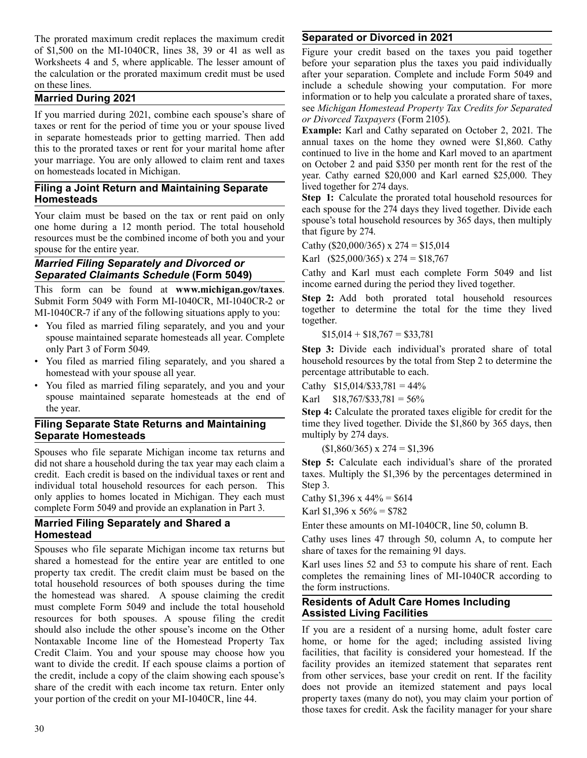The prorated maximum credit replaces the maximum credit of \$1,500 on the MI-1040CR, lines 38, 39 or 41 as well as Worksheets 4 and 5, where applicable. The lesser amount of the calculation or the prorated maximum credit must be used on these lines.

## **Married During 2021**

If you married during 2021, combine each spouse's share of taxes or rent for the period of time you or your spouse lived in separate homesteads prior to getting married. Then add this to the prorated taxes or rent for your marital home after your marriage. You are only allowed to claim rent and taxes on homesteads located in Michigan.

## **Filing a Joint Return and Maintaining Separate Homesteads**

Your claim must be based on the tax or rent paid on only one home during a 12 month period. The total household resources must be the combined income of both you and your spouse for the entire year.

#### *Married Filing Separately and Divorced or Separated Claimants Schedule* **(Form 5049)**

This form can be found at **www.michigan.gov/taxes**. Submit Form 5049 with Form MI-1040CR, MI-1040CR-2 or MI-1040CR-7 if any of the following situations apply to you:

- You filed as married filing separately, and you and your spouse maintained separate homesteads all year. Complete only Part 3 of Form 5049.
- You filed as married filing separately, and you shared a homestead with your spouse all year.
- You filed as married filing separately, and you and your spouse maintained separate homesteads at the end of the year.

## **Filing Separate State Returns and Maintaining Separate Homesteads**

Spouses who file separate Michigan income tax returns and did not share a household during the tax year may each claim a credit. Each credit is based on the individual taxes or rent and individual total household resources for each person. This only applies to homes located in Michigan. They each must complete Form 5049 and provide an explanation in Part 3.

## **Married Filing Separately and Shared a Homestead**

Spouses who file separate Michigan income tax returns but shared a homestead for the entire year are entitled to one property tax credit. The credit claim must be based on the total household resources of both spouses during the time the homestead was shared. A spouse claiming the credit must complete Form 5049 and include the total household resources for both spouses. A spouse filing the credit should also include the other spouse's income on the Other Nontaxable Income line of the Homestead Property Tax Credit Claim. You and your spouse may choose how you want to divide the credit. If each spouse claims a portion of the credit, include a copy of the claim showing each spouse's share of the credit with each income tax return. Enter only your portion of the credit on your MI-1040CR, line 44.

# **Separated or Divorced in 2021**

Figure your credit based on the taxes you paid together before your separation plus the taxes you paid individually after your separation. Complete and include Form 5049 and include a schedule showing your computation. For more information or to help you calculate a prorated share of taxes, see *Michigan Homestead Property Tax Credits for Separated or Divorced Taxpayers* (Form 2105).

**Example:** Karl and Cathy separated on October 2, 2021. The annual taxes on the home they owned were \$1,860. Cathy continued to live in the home and Karl moved to an apartment on October 2 and paid \$350 per month rent for the rest of the year. Cathy earned \$20,000 and Karl earned \$25,000. They lived together for 274 days.

**Step 1:** Calculate the prorated total household resources for each spouse for the 274 days they lived together. Divide each spouse's total household resources by 365 days, then multiply that figure by 274.

Cathy (\$20,000/365) x  $274 = $15,014$ 

Karl (\$25,000/365) x 274 = \$18,767

Cathy and Karl must each complete Form 5049 and list income earned during the period they lived together.

**Step 2:** Add both prorated total household resources together to determine the total for the time they lived together.

 $$15,014 + $18,767 = $33,781$ 

**Step 3:** Divide each individual's prorated share of total household resources by the total from Step 2 to determine the percentage attributable to each.

Cathy  $$15,014/\$33,781 = 44\%$ 

Karl  $$18,767/\$33,781 = 56\%$ 

**Step 4:** Calculate the prorated taxes eligible for credit for the time they lived together. Divide the \$1,860 by 365 days, then multiply by 274 days.

 $$1,860/365$ ) x  $274 = $1,396$ 

**Step 5:** Calculate each individual's share of the prorated taxes. Multiply the \$1,396 by the percentages determined in Step 3.

Cathy  $$1,396 \times 44\% = $614$ 

Karl  $$1,396 \times 56\% = $782$ 

Enter these amounts on MI-1040CR, line 50, column B.

Cathy uses lines 47 through 50, column A, to compute her share of taxes for the remaining 91 days.

Karl uses lines 52 and 53 to compute his share of rent. Each completes the remaining lines of MI-1040CR according to the form instructions.

#### **Residents of Adult Care Homes Including Assisted Living Facilities**

If you are a resident of a nursing home, adult foster care home, or home for the aged; including assisted living facilities, that facility is considered your homestead. If the facility provides an itemized statement that separates rent from other services, base your credit on rent. If the facility does not provide an itemized statement and pays local property taxes (many do not), you may claim your portion of those taxes for credit. Ask the facility manager for your share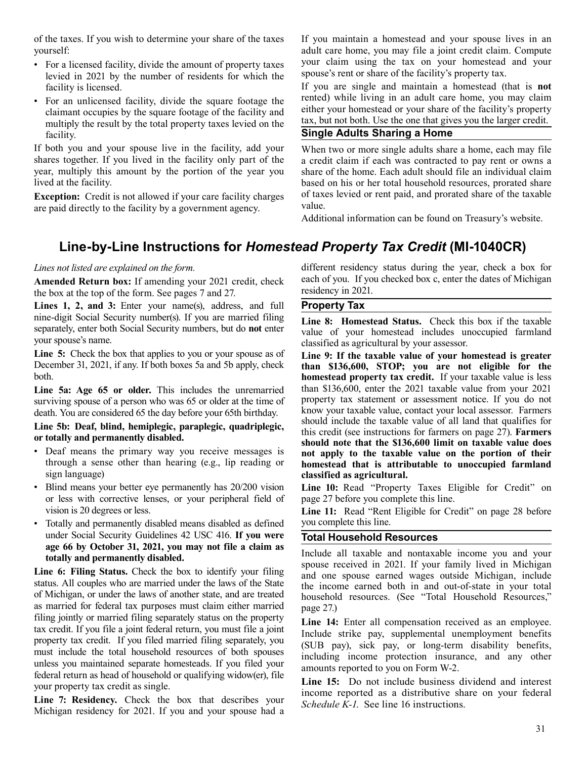of the taxes. If you wish to determine your share of the taxes yourself:

- For a licensed facility, divide the amount of property taxes levied in 2021 by the number of residents for which the facility is licensed.
- For an unlicensed facility, divide the square footage the claimant occupies by the square footage of the facility and multiply the result by the total property taxes levied on the facility.

If both you and your spouse live in the facility, add your shares together. If you lived in the facility only part of the year, multiply this amount by the portion of the year you lived at the facility.

**Exception:** Credit is not allowed if your care facility charges are paid directly to the facility by a government agency.

If you maintain a homestead and your spouse lives in an adult care home, you may file a joint credit claim. Compute your claim using the tax on your homestead and your spouse's rent or share of the facility's property tax.

If you are single and maintain a homestead (that is **not**  rented) while living in an adult care home, you may claim either your homestead or your share of the facility's property tax, but not both. Use the one that gives you the larger credit.

# **Single Adults Sharing a Home**

When two or more single adults share a home, each may file a credit claim if each was contracted to pay rent or owns a share of the home. Each adult should file an individual claim based on his or her total household resources, prorated share of taxes levied or rent paid, and prorated share of the taxable value.

Additional information can be found on Treasury's website.

# **Line-by-Line Instructions for** *Homestead Property Tax Credit* **(MI-1040CR)**

## *Lines not listed are explained on the form.*

**Amended Return box:** If amending your 2021 credit, check the box at the top of the form. See pages 7 and 27.

**Lines 1, 2, and 3:** Enter your name(s), address, and full nine-digit Social Security number(s). If you are married filing separately, enter both Social Security numbers, but do **not** enter your spouse's name.

**Line 5:** Check the box that applies to you or your spouse as of December 31, 2021, if any. If both boxes 5a and 5b apply, check both.

**Line 5a: Age 65 or older.** This includes the unremarried surviving spouse of a person who was 65 or older at the time of death. You are considered 65 the day before your 65th birthday.

#### **Line 5b: Deaf, blind, hemiplegic, paraplegic, quadriplegic, or totally and permanently disabled.**

- Deaf means the primary way you receive messages is through a sense other than hearing (e.g., lip reading or sign language)
- Blind means your better eye permanently has 20/200 vision or less with corrective lenses, or your peripheral field of vision is 20 degrees or less.
- Totally and permanently disabled means disabled as defined under Social Security Guidelines 42 USC 416. **If you were age 66 by October 31, 2021, you may not file a claim as totally and permanently disabled.**

**Line 6: Filing Status.** Check the box to identify your filing status. All couples who are married under the laws of the State of Michigan, or under the laws of another state, and are treated as married for federal tax purposes must claim either married filing jointly or married filing separately status on the property tax credit. If you file a joint federal return, you must file a joint property tax credit. If you filed married filing separately, you must include the total household resources of both spouses unless you maintained separate homesteads. If you filed your federal return as head of household or qualifying widow(er), file your property tax credit as single.

**Line 7: Residency.** Check the box that describes your Michigan residency for 2021. If you and your spouse had a different residency status during the year, check a box for each of you. If you checked box c, enter the dates of Michigan residency in 2021.

## **Property Tax**

**Line 8: Homestead Status.** Check this box if the taxable value of your homestead includes unoccupied farmland classified as agricultural by your assessor.

**Line 9: If the taxable value of your homestead is greater than \$136,600, STOP; you are not eligible for the homestead property tax credit.** If your taxable value is less than \$136,600, enter the 2021 taxable value from your 2021 property tax statement or assessment notice. If you do not know your taxable value, contact your local assessor. Farmers should include the taxable value of all land that qualifies for this credit (see instructions for farmers on page 27). **Farmers should note that the \$136,600 limit on taxable value does not apply to the taxable value on the portion of their homestead that is attributable to unoccupied farmland classified as agricultural.**

**Line 10:** Read "Property Taxes Eligible for Credit" on page 27 before you complete this line.

Line 11: Read "Rent Eligible for Credit" on page 28 before you complete this line.

## **Total Household Resources**

Include all taxable and nontaxable income you and your spouse received in 2021. If your family lived in Michigan and one spouse earned wages outside Michigan, include the income earned both in and out-of-state in your total household resources. (See "Total Household Resources," page 27.)

**Line 14:** Enter all compensation received as an employee. Include strike pay, supplemental unemployment benefits (SUB pay), sick pay, or long-term disability benefits, including income protection insurance, and any other amounts reported to you on Form W-2.

**Line 15:** Do not include business dividend and interest income reported as a distributive share on your federal *Schedule K-1*. See line 16 instructions.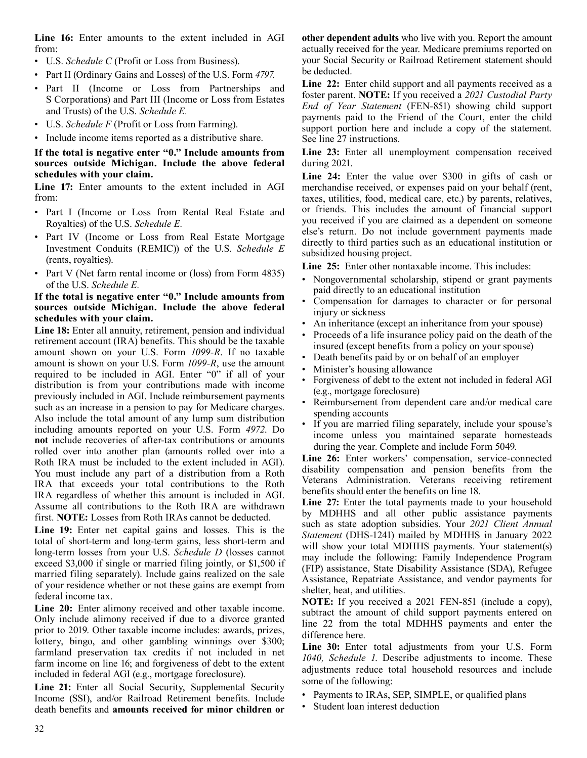**Line 16:** Enter amounts to the extent included in AGI from:

- U.S. *Schedule C* (Profit or Loss from Business).
- Part II (Ordinary Gains and Losses) of the U.S. Form *4797.*
- Part II (Income or Loss from Partnerships and S Corporations) and Part III (Income or Loss from Estates and Trusts) of the U.S. *Schedule E.*
- U.S. *Schedule F* (Profit or Loss from Farming).
- Include income items reported as a distributive share.

#### **If the total is negative enter "0." Include amounts from sources outside Michigan. Include the above federal schedules with your claim.**

Line 17: Enter amounts to the extent included in AGI from:

- Part I (Income or Loss from Rental Real Estate and Royalties) of the U.S. *Schedule E.*
- Part IV (Income or Loss from Real Estate Mortgage Investment Conduits (REMIC)) of the U.S. *Schedule E*  (rents, royalties).
- Part V (Net farm rental income or (loss) from Form 4835) of the U.S. *Schedule E.*

#### **If the total is negative enter "0." Include amounts from sources outside Michigan. Include the above federal schedules with your claim.**

**Line 18:** Enter all annuity, retirement, pension and individual retirement account (IRA) benefits. This should be the taxable amount shown on your U.S. Form *1099-R*. If no taxable amount is shown on your U.S. Form *1099-R*, use the amount required to be included in AGI. Enter "0" if all of your distribution is from your contributions made with income previously included in AGI. Include reimbursement payments such as an increase in a pension to pay for Medicare charges. Also include the total amount of any lump sum distribution including amounts reported on your U.S. Form *4972*. Do **not** include recoveries of after-tax contributions or amounts rolled over into another plan (amounts rolled over into a Roth IRA must be included to the extent included in AGI). You must include any part of a distribution from a Roth IRA that exceeds your total contributions to the Roth IRA regardless of whether this amount is included in AGI. Assume all contributions to the Roth IRA are withdrawn first. **NOTE:** Losses from Roth IRAs cannot be deducted.

**Line 19:** Enter net capital gains and losses. This is the total of short-term and long-term gains, less short-term and long-term losses from your U.S. *Schedule D* (losses cannot exceed \$3,000 if single or married filing jointly, or \$1,500 if married filing separately). Include gains realized on the sale of your residence whether or not these gains are exempt from federal income tax.

**Line 20:** Enter alimony received and other taxable income. Only include alimony received if due to a divorce granted prior to 2019. Other taxable income includes: awards, prizes, lottery, bingo, and other gambling winnings over \$300; farmland preservation tax credits if not included in net farm income on line 16; and forgiveness of debt to the extent included in federal AGI (e.g., mortgage foreclosure).

**Line 21:** Enter all Social Security, Supplemental Security Income (SSI), and/or Railroad Retirement benefits. Include death benefits and **amounts received for minor children or**  **other dependent adults** who live with you. Report the amount actually received for the year. Medicare premiums reported on your Social Security or Railroad Retirement statement should be deducted.

**Line 22:** Enter child support and all payments received as a foster parent. **NOTE:** If you received a *2021 Custodial Party End of Year Statement* (FEN-851) showing child support payments paid to the Friend of the Court, enter the child support portion here and include a copy of the statement. See line 27 instructions.

**Line 23:** Enter all unemployment compensation received during 2021.

**Line 24:** Enter the value over \$300 in gifts of cash or merchandise received, or expenses paid on your behalf (rent, taxes, utilities, food, medical care, etc.) by parents, relatives, or friends. This includes the amount of financial support you received if you are claimed as a dependent on someone else's return. Do not include government payments made directly to third parties such as an educational institution or subsidized housing project.

**Line 25:** Enter other nontaxable income. This includes:

- Nongovernmental scholarship, stipend or grant payments paid directly to an educational institution
- Compensation for damages to character or for personal injury or sickness
- An inheritance (except an inheritance from your spouse)
- Proceeds of a life insurance policy paid on the death of the insured (except benefits from a policy on your spouse)
- Death benefits paid by or on behalf of an employer
- Minister's housing allowance
- Forgiveness of debt to the extent not included in federal AGI (e.g., mortgage foreclosure)
- Reimbursement from dependent care and/or medical care spending accounts
- If you are married filing separately, include your spouse's income unless you maintained separate homesteads during the year. Complete and include Form 5049.

**Line 26:** Enter workers' compensation, service-connected disability compensation and pension benefits from the Veterans Administration. Veterans receiving retirement benefits should enter the benefits on line 18.

Line 27: Enter the total payments made to your household by MDHHS and all other public assistance payments such as state adoption subsidies. Your *2021 Client Annual Statement* (DHS-1241) mailed by MDHHS in January 2022 will show your total MDHHS payments. Your statement(s) may include the following: Family Independence Program (FIP) assistance, State Disability Assistance (SDA), Refugee Assistance, Repatriate Assistance, and vendor payments for shelter, heat, and utilities.

**NOTE:** If you received a 2021 FEN-851 (include a copy), subtract the amount of child support payments entered on line 22 from the total MDHHS payments and enter the difference here.

**Line 30:** Enter total adjustments from your U.S. Form *1040, Schedule 1*. Describe adjustments to income. These adjustments reduce total household resources and include some of the following:

- Payments to IRAs, SEP, SIMPLE, or qualified plans
- Student loan interest deduction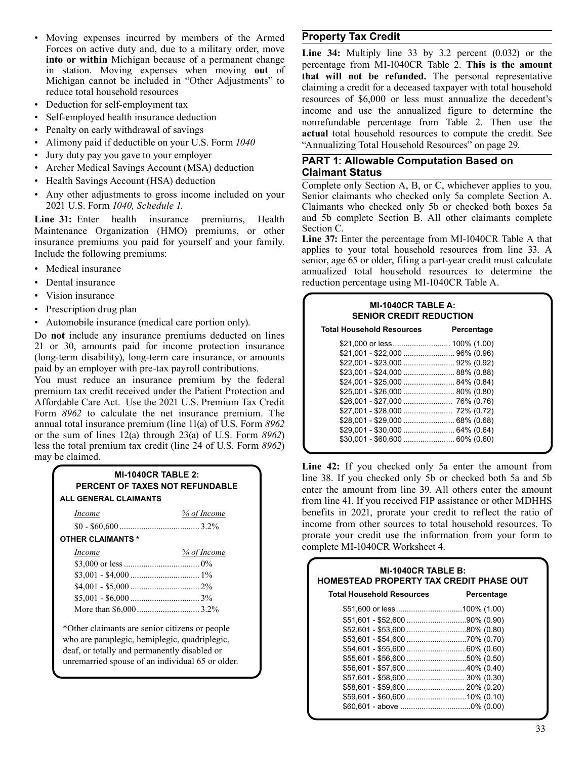- Moving expenses incurred by members of the Armed Forces on active duty and, due to a military order, move **into or within** Michigan because of a permanent change in station. Moving expenses when moving **out** of Michigan cannot be included in "Other Adjustments" to reduce total household resources
- Deduction for self-employment tax
- Self-employed health insurance deduction
- Penalty on early withdrawal of savings
- Alimony paid if deductible on your U.S. Form *1040*
- Jury duty pay you gave to your employer
- Archer Medical Savings Account (MSA) deduction
- Health Savings Account (HSA) deduction
- Any other adjustments to gross income included on your 2021 U.S. Form *1040, Schedule 1*.

**Line 31:** Enter health insurance premiums, Health Maintenance Organization (HMO) premiums, or other insurance premiums you paid for yourself and your family. Include the following premiums:

- Medical insurance
- Dental insurance
- Vision insurance
- Prescription drug plan
- Automobile insurance (medical care portion only).

Do **not** include any insurance premiums deducted on lines 21 or 30, amounts paid for income protection insurance (long-term disability), long-term care insurance, or amounts paid by an employer with pre‑tax payroll contributions.

You must reduce an insurance premium by the federal premium tax credit received under the Patient Protection and Affordable Care Act. Use the 2021 U.S. Premium Tax Credit Form *8962* to calculate the net insurance premium. The annual total insurance premium (line 11(a) of U.S. Form *8962*  or the sum of lines 12(a) through 23(a) of U.S. Form *8962*) less the total premium tax credit (line 24 of U.S. Form *8962*) may be claimed.

| <b>MI-1040CR TABLE 2:</b> |                                 |  |
|---------------------------|---------------------------------|--|
|                           | PERCENT OF TAXES NOT REFUNDABLE |  |
| ALL GENERAL CLAIMANTS     |                                 |  |
| <i>Income</i>             | % of Income                     |  |

| <b>OTHER CLAIMANTS *</b> |             |  |
|--------------------------|-------------|--|
| <i>Income</i>            | % of Income |  |
|                          |             |  |
|                          |             |  |
|                          |             |  |
|                          |             |  |
|                          |             |  |

\*Other claimants are senior citizens or people who are paraplegic, hemiplegic, quadriplegic, deaf, or totally and permanently disabled or unremarried spouse of an individual 65 or older.

## **Property Tax Credit**

**Line 34:** Multiply line 33 by 3.2 percent (0.032) or the percentage from MI-1040CR Table 2. **This is the amount that will not be refunded.** The personal representative claiming a credit for a deceased taxpayer with total household resources of \$6,000 or less must annualize the decedent's income and use the annualized figure to determine the nonrefundable percentage from Table 2. Then use the **actual** total household resources to compute the credit. See "Annualizing Total Household Resources" on page 29.

#### **PART 1: Allowable Computation Based on Claimant Status**

Complete only Section A, B, or C, whichever applies to you. Senior claimants who checked only 5a complete Section A. Claimants who checked only 5b or checked both boxes 5a and 5b complete Section B. All other claimants complete Section C.

**Line 37:** Enter the percentage from MI-1040CR Table A that applies to your total household resources from line 33. A senior, age 65 or older, filing a part-year credit must calculate annualized total household resources to determine the reduction percentage using MI-1040CR Table A.

| <b>MI-1040CR TABLE A:</b><br><b>SENIOR CREDIT REDUCTION</b> |            |  |  |
|-------------------------------------------------------------|------------|--|--|
| <b>Total Household Resources</b>                            | Percentage |  |  |
|                                                             |            |  |  |
|                                                             |            |  |  |
|                                                             |            |  |  |
|                                                             |            |  |  |
|                                                             |            |  |  |
| $$25,001 - $26,000$ 80% (0.80)                              |            |  |  |
|                                                             |            |  |  |
|                                                             |            |  |  |
|                                                             |            |  |  |
|                                                             |            |  |  |
|                                                             |            |  |  |

Line 42: If you checked only 5a enter the amount from line 38. If you checked only 5b or checked both 5a and 5b enter the amount from line 39. All others enter the amount from line 41. If you received FIP assistance or other MDHHS benefits in 2021, prorate your credit to reflect the ratio of income from other sources to total household resources. To prorate your credit use the information from your form to complete MI-1040CR Worksheet 4.

| <b>MI-1040CR TABLE B:</b><br><b>HOMESTEAD PROPERTY TAX CREDIT PHASE OUT</b> |            |  |  |
|-----------------------------------------------------------------------------|------------|--|--|
| <b>Total Household Resources</b>                                            | Percentage |  |  |
|                                                                             |            |  |  |
|                                                                             |            |  |  |
| $$52,601 - $53,600$ 80% (0.80)                                              |            |  |  |
|                                                                             |            |  |  |
|                                                                             |            |  |  |
|                                                                             |            |  |  |
| $$56,601 - $57,600$ 40% (0.40)                                              |            |  |  |
|                                                                             |            |  |  |
|                                                                             |            |  |  |
|                                                                             |            |  |  |
|                                                                             |            |  |  |